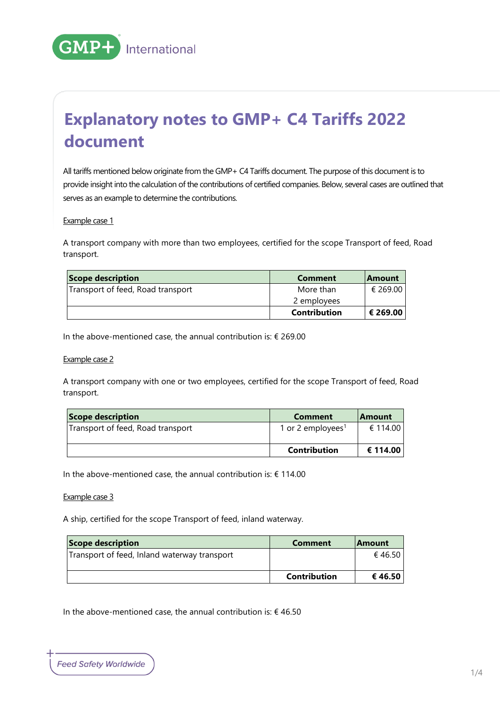

# **Explanatory notes to GMP+ C4 Tariffs 2022 document**

All tariffs mentioned below originate from the GMP+ C4 Tariffs document. The purpose of this document is to provide insight into the calculation of the contributions of certified companies. Below, several cases are outlined that serves as an example to determine the contributions.

#### Example case 1

A transport company with more than two employees, certified for the scope Transport of feed, Road transport.

| <b>Scope description</b>          | Comment             | <b>Amount</b> |
|-----------------------------------|---------------------|---------------|
| Transport of feed, Road transport | More than           | € 269.00      |
|                                   | 2 employees         |               |
|                                   | <b>Contribution</b> | € 269.00      |

In the above-mentioned case, the annual contribution is:  $\epsilon$  269.00

#### Example case 2

A transport company with one or two employees, certified for the scope Transport of feed, Road transport.

| Scope description                 | Comment                       | <b>Amount</b> |
|-----------------------------------|-------------------------------|---------------|
| Transport of feed, Road transport | 1 or 2 employees <sup>1</sup> | € 114.00      |
|                                   | <b>Contribution</b>           | € 114.00      |

In the above-mentioned case, the annual contribution is:  $\epsilon$  114.00

#### Example case 3

A ship, certified for the scope Transport of feed, inland waterway.

| Scope description                            | Comment             | <b>Amount</b> |
|----------------------------------------------|---------------------|---------------|
| Transport of feed, Inland waterway transport |                     | € 46.50       |
|                                              | <b>Contribution</b> | € 46.50       |

In the above-mentioned case, the annual contribution is:  $\epsilon$  46.50

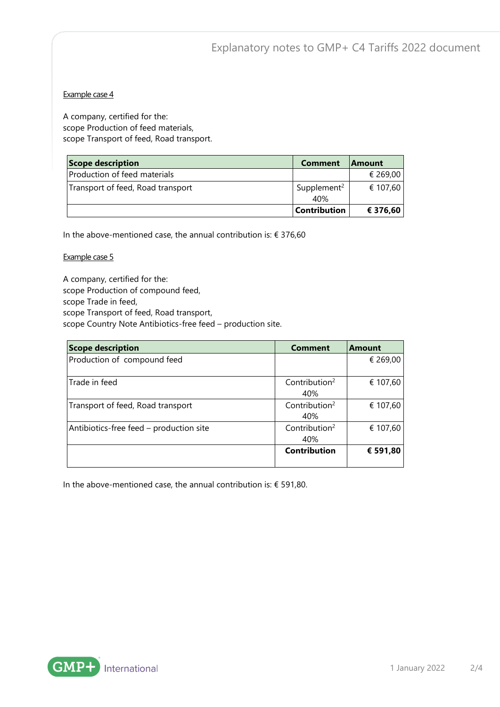## Example case 4

A company, certified for the: scope Production of feed materials, scope Transport of feed, Road transport.

| Scope description                 | <b>Comment</b>                 | <b>Amount</b> |
|-----------------------------------|--------------------------------|---------------|
| Production of feed materials      |                                | € 269,00      |
| Transport of feed, Road transport | Supplement <sup>2</sup><br>40% | € 107,60      |
|                                   | <b>Contribution</b>            | € 376,60      |

In the above-mentioned case, the annual contribution is:  $\epsilon$  376,60

#### Example case 5

A company, certified for the: scope Production of compound feed, scope Trade in feed, scope Transport of feed, Road transport, scope Country Note Antibiotics-free feed – production site.

| <b>Scope description</b>                | <b>Comment</b>                   | <b>Amount</b> |
|-----------------------------------------|----------------------------------|---------------|
| Production of compound feed             |                                  | € 269,00      |
| Trade in feed                           | Contribution $2$<br>40%          | € 107,60      |
| Transport of feed, Road transport       | Contribution <sup>2</sup><br>40% | € 107,60      |
| Antibiotics-free feed – production site | Contribution <sup>2</sup><br>40% | € 107,60      |
|                                         | Contribution                     | € 591,80      |

In the above-mentioned case, the annual contribution is:  $\epsilon$  591,80.

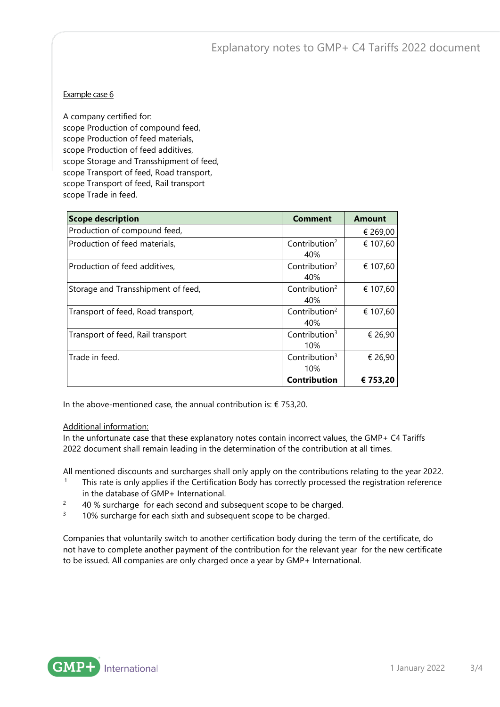Explanatory notes to GMP+ C4 Tariffs 2022 document

### Example case 6

A company certified for: scope Production of compound feed, scope Production of feed materials, scope Production of feed additives, scope Storage and Transshipment of feed, scope Transport of feed, Road transport, scope Transport of feed, Rail transport scope Trade in feed.

| <b>Scope description</b>           | <b>Comment</b>                   | <b>Amount</b> |
|------------------------------------|----------------------------------|---------------|
| Production of compound feed,       |                                  | € 269,00      |
| Production of feed materials,      | Contribution <sup>2</sup><br>40% | € 107,60      |
| Production of feed additives,      | Contribution $2$<br>40%          | € 107,60      |
| Storage and Transshipment of feed, | Contribution $2$<br>40%          | € 107,60      |
| Transport of feed, Road transport, | Contribution $2$<br>40%          | € 107,60      |
| Transport of feed, Rail transport  | Contribution $3$<br>10%          | € 26,90       |
| Trade in feed.                     | Contribution $3$<br>10%          | € 26,90       |
|                                    | <b>Contribution</b>              | € 753,20      |

In the above-mentioned case, the annual contribution is:  $\epsilon$  753,20.

#### Additional information:

In the unfortunate case that these explanatory notes contain incorrect values, the GMP+ C4 Tariffs 2022 document shall remain leading in the determination of the contribution at all times.

All mentioned discounts and surcharges shall only apply on the contributions relating to the year 2022.

- <sup>1</sup> This rate is only applies if the Certification Body has correctly processed the registration reference in the database of GMP+ International.
- $2^2$  40 % surcharge for each second and subsequent scope to be charged.
- <sup>3</sup> 10% surcharge for each sixth and subsequent scope to be charged.

Companies that voluntarily switch to another certification body during the term of the certificate, do not have to complete another payment of the contribution for the relevant year for the new certificate to be issued. All companies are only charged once a year by GMP+ International.